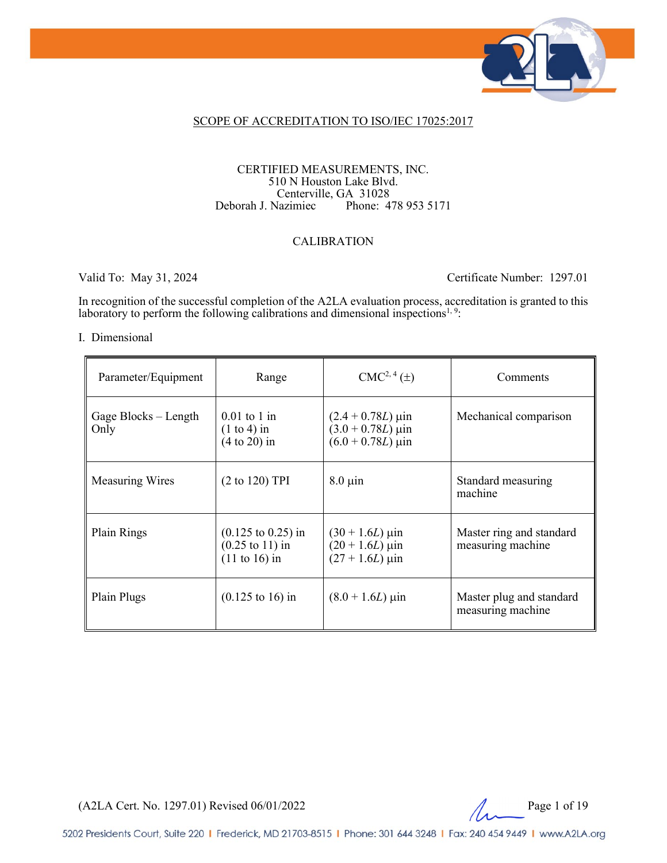

### SCOPE OF ACCREDITATION TO ISO/IEC 17025:2017

#### CERTIFIED MEASUREMENTS, INC. 510 N Houston Lake Blvd. Centerville, GA 31028<br>Deborah J. Nazimiec Phone: 4 Phone: 478 953 5171

### CALIBRATION

Valid To: May 31, 2024 Certificate Number: 1297.01

In recognition of the successful completion of the A2LA evaluation process, accreditation is granted to this laboratory to perform the following calibrations and dimensional inspections<sup>1, 9</sup>:

#### I. Dimensional

| Parameter/Equipment          | Range                                                                                   | $CMC2, 4(\pm)$                                                                                        | Comments                                      |
|------------------------------|-----------------------------------------------------------------------------------------|-------------------------------------------------------------------------------------------------------|-----------------------------------------------|
| Gage Blocks – Length<br>Only | $0.01$ to 1 in<br>$(1 \text{ to } 4)$ in<br>$(4 to 20)$ in                              | $(2.4 + 0.78L) \,\mu \text{in}$<br>$(3.0 + 0.78L) \,\mu \text{in}$<br>$(6.0 + 0.78L) \,\mu \text{in}$ | Mechanical comparison                         |
| <b>Measuring Wires</b>       | $(2 \text{ to } 120)$ TPI                                                               | $8.0 \mu$ in                                                                                          | Standard measuring<br>machine                 |
| Plain Rings                  | $(0.125 \text{ to } 0.25)$ in<br>$(0.25 \text{ to } 11)$ in<br>$(11 \text{ to } 16)$ in | $(30 + 1.6L) \,\mu$ in<br>$(20 + 1.6L) \,\mu\text{in}$<br>$(27 + 1.6L)$ µin                           | Master ring and standard<br>measuring machine |
| Plain Plugs                  | $(0.125 \text{ to } 16) \text{ in}$                                                     | $(8.0 + 1.6L) \,\mu$ in                                                                               | Master plug and standard<br>measuring machine |

(A2LA Cert. No. 1297.01) Revised 06/01/2022 2 Page 1 of 19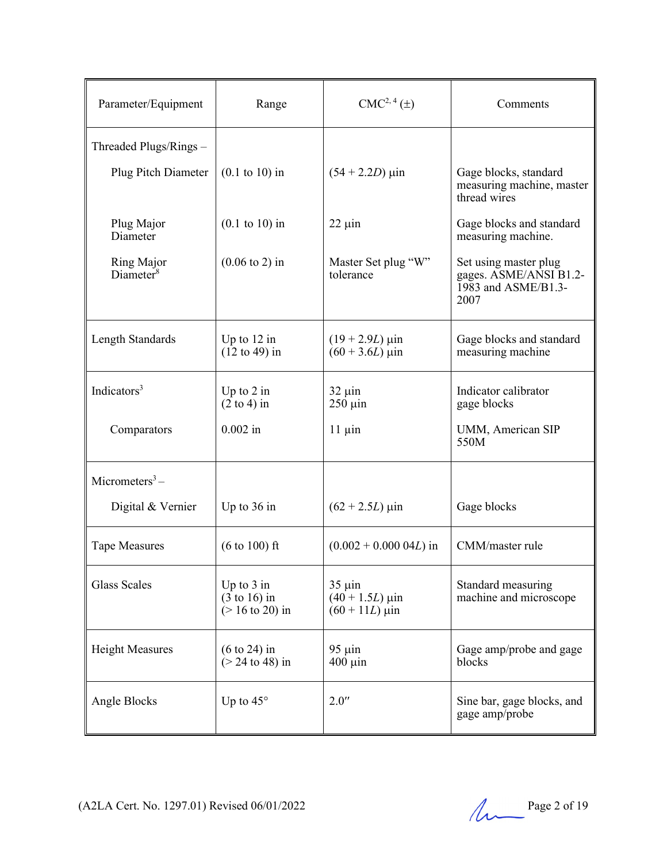| Parameter/Equipment                 | Range                                                       | $CMC2, 4(\pm)$                                                 | Comments                                                                       |
|-------------------------------------|-------------------------------------------------------------|----------------------------------------------------------------|--------------------------------------------------------------------------------|
| Threaded Plugs/Rings -              |                                                             |                                                                |                                                                                |
| Plug Pitch Diameter                 | $(0.1 \text{ to } 10)$ in                                   | $(54 + 2.2D)$ µin                                              | Gage blocks, standard<br>measuring machine, master<br>thread wires             |
| Plug Major<br>Diameter              | $(0.1 \text{ to } 10)$ in                                   | $22 \mu$ in                                                    | Gage blocks and standard<br>measuring machine.                                 |
| Ring Major<br>Diameter <sup>8</sup> | $(0.06 \text{ to } 2)$ in                                   | Master Set plug "W"<br>tolerance                               | Set using master plug<br>gages. ASME/ANSI B1.2-<br>1983 and ASME/B1.3-<br>2007 |
| Length Standards                    | Up to $12$ in<br>$(12 \text{ to } 49)$ in                   | $(19 + 2.9L) \,\mu\text{in}$<br>$(60 + 3.6L)$ µin              | Gage blocks and standard<br>measuring machine                                  |
| Indicators <sup>3</sup>             | Up to $2$ in<br>$(2 \text{ to } 4)$ in                      | $32 \mu$ in<br>$250 \mu$ in                                    | Indicator calibrator<br>gage blocks                                            |
| Comparators                         | $0.002$ in                                                  | $11 \mu$ in                                                    | UMM, American SIP<br>550M                                                      |
| Micrometers $3-$                    |                                                             |                                                                |                                                                                |
| Digital & Vernier                   | Up to $36$ in                                               | $(62 + 2.5L) \,\mu$ in                                         | Gage blocks                                                                    |
| <b>Tape Measures</b>                | $(6 \text{ to } 100) \text{ ft}$                            | $(0.002 + 0.000 04L)$ in                                       | CMM/master rule                                                                |
| <b>Glass Scales</b>                 | Up to $3$ in<br>$(3 \text{ to } 16)$ in<br>$($ 16 to 20) in | $35 \mu$ in<br>$(40 + 1.5L) \,\mu$ in<br>$(60 + 11L) \,\mu$ in | Standard measuring<br>machine and microscope                                   |
| <b>Height Measures</b>              | $(6 \text{ to } 24)$ in<br>$($ 24 to 48) in                 | $95 \mu$ in<br>$400 \mu$ in                                    | Gage amp/probe and gage<br>blocks                                              |
| Angle Blocks                        | Up to $45^\circ$                                            | 2.0''                                                          | Sine bar, gage blocks, and<br>gage amp/probe                                   |

(A2LA Cert. No. 1297.01) Revised 06/01/2022 Page 2 of 19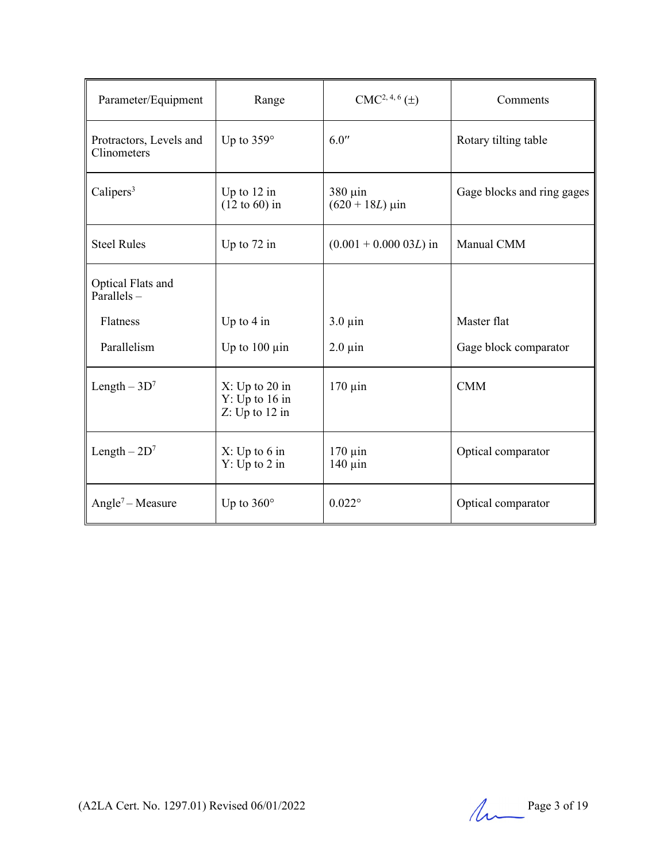| Parameter/Equipment                    | Range                                                | $CMC2, 4, 6(\pm)$                      | Comments                   |
|----------------------------------------|------------------------------------------------------|----------------------------------------|----------------------------|
| Protractors, Levels and<br>Clinometers | Up to $359^\circ$                                    | 6.0''                                  | Rotary tilting table       |
| Calipers $3$                           | Up to $12$ in<br>$(12 \text{ to } 60)$ in            | $380 \mu$ in<br>$(620 + 18L) \,\mu$ in | Gage blocks and ring gages |
| <b>Steel Rules</b>                     | Up to 72 in                                          | $(0.001 + 0.000 03L)$ in               | Manual CMM                 |
| Optical Flats and<br>Parallels $-$     |                                                      |                                        |                            |
| Flatness                               | Up to $4$ in                                         | $3.0 \mu$ in                           | Master flat                |
| Parallelism                            | Up to $100 \mu$ in                                   | $2.0 \mu$ in                           | Gage block comparator      |
| Length $-3D^7$                         | X: Up to 20 in<br>$Y: Up$ to 16 in<br>Z: Up to 12 in | $170 \mu$ in                           | <b>CMM</b>                 |
| Length $-2D^7$                         | X: Up to 6 in<br>Y: Up to 2 in                       | $170 \mu$ in<br>$140 \mu$ in           | Optical comparator         |
| Angle <sup>7</sup> – Measure           | Up to $360^\circ$                                    | $0.022^\circ$                          | Optical comparator         |

(A2LA Cert. No. 1297.01) Revised  $06/01/2022$  Page 3 of 19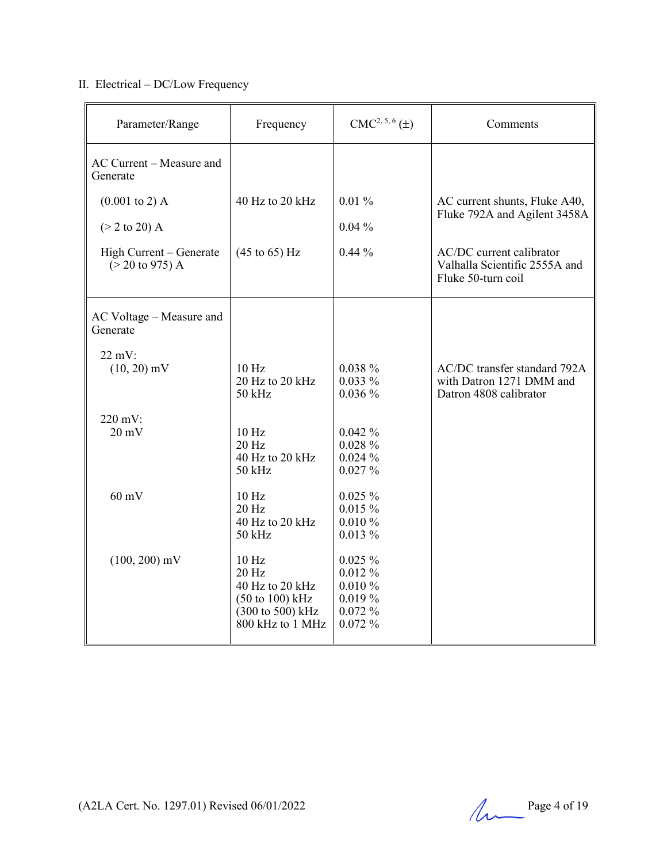# II. Electrical – DC/Low Frequency

| Parameter/Range                                                                                                | Frequency                                                                                                                    | $CMC2, 5, 6(\pm)$                                                   | Comments                                                                                                                                         |
|----------------------------------------------------------------------------------------------------------------|------------------------------------------------------------------------------------------------------------------------------|---------------------------------------------------------------------|--------------------------------------------------------------------------------------------------------------------------------------------------|
| AC Current – Measure and<br>Generate                                                                           |                                                                                                                              |                                                                     |                                                                                                                                                  |
| $(0.001 \text{ to } 2)$ A<br>$(> 2 \text{ to } 20)$ A<br>High Current - Generate<br>$(> 20 \text{ to } 975)$ A | 40 Hz to 20 kHz<br>$(45 \text{ to } 65) \text{ Hz}$                                                                          | $0.01\,\%$<br>$0.04\%$<br>$0.44\%$                                  | AC current shunts, Fluke A40,<br>Fluke 792A and Agilent 3458A<br>AC/DC current calibrator<br>Valhalla Scientific 2555A and<br>Fluke 50-turn coil |
| AC Voltage - Measure and<br>Generate                                                                           |                                                                                                                              |                                                                     |                                                                                                                                                  |
| $22 \text{ mV}$ :<br>$(10, 20)$ mV                                                                             | 10 <sub>Hz</sub><br>20 Hz to 20 kHz<br>50 kHz                                                                                | $0.038 \%$<br>$0.033\%$<br>0.036%                                   | AC/DC transfer standard 792A<br>with Datron 1271 DMM and<br>Datron 4808 calibrator                                                               |
| 220 mV:<br>$20 \text{ mV}$                                                                                     | 10 Hz<br>20 Hz<br>40 Hz to 20 kHz<br>$50$ kHz                                                                                | 0.042%<br>0.028%<br>0.024%<br>0.027%                                |                                                                                                                                                  |
| $60 \text{ mV}$                                                                                                | 10 Hz<br>20 Hz<br>40 Hz to 20 kHz<br>50 kHz                                                                                  | $0.025 \%$<br>0.015%<br>0.010%<br>$0.013\%$                         |                                                                                                                                                  |
| $(100, 200)$ mV                                                                                                | 10 <sub>Hz</sub><br>$20$ Hz<br>40 Hz to 20 kHz<br>$(50 \text{ to } 100) \text{ kHz}$<br>(300 to 500) kHz<br>800 kHz to 1 MHz | $0.025 \%$<br>$0.012~\%$<br>0.010%<br>$0.019\%$<br>0.072%<br>0.072% |                                                                                                                                                  |

(A2LA Cert. No. 1297.01) Revised 06/01/2022 Page 4 of 19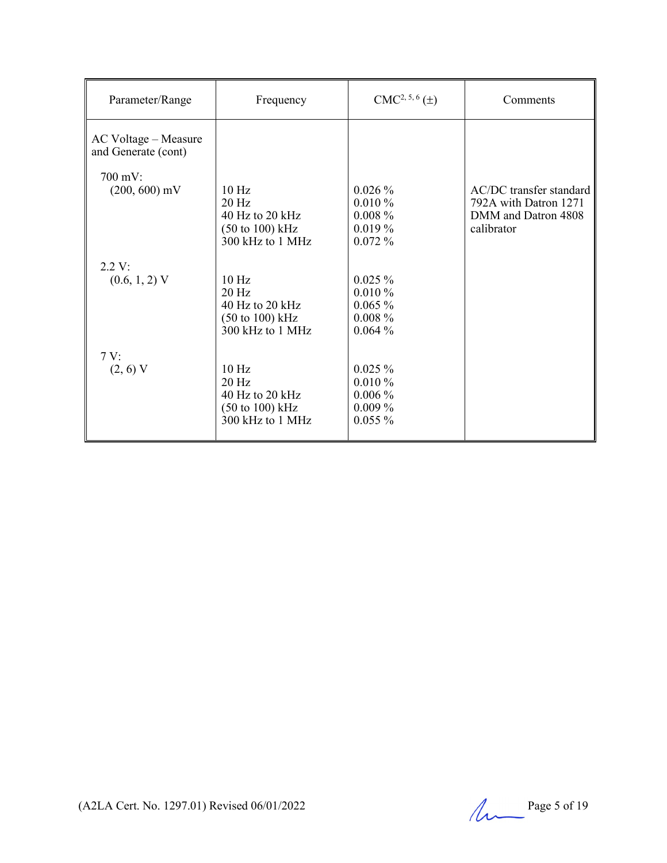| Parameter/Range                             | Frequency                                                                                                | $CMC2, 5, 6(\pm)$                                           | Comments                                                                              |
|---------------------------------------------|----------------------------------------------------------------------------------------------------------|-------------------------------------------------------------|---------------------------------------------------------------------------------------|
| AC Voltage – Measure<br>and Generate (cont) |                                                                                                          |                                                             |                                                                                       |
| $700 \text{ mV}$ :<br>$(200, 600)$ mV       | 10 <sub>Hz</sub><br>$20$ Hz<br>40 Hz to 20 kHz<br>$(50 \text{ to } 100) \text{ kHz}$<br>300 kHz to 1 MHz | $0.026\%$<br>$0.010\%$<br>$0.008\%$<br>$0.019\%$<br>0.072%  | AC/DC transfer standard<br>792A with Datron 1271<br>DMM and Datron 4808<br>calibrator |
| 2.2 V:<br>$(0.6, 1, 2)$ V                   | 10 <sub>Hz</sub><br>$20$ Hz<br>40 Hz to 20 kHz<br>$(50 \text{ to } 100) \text{ kHz}$<br>300 kHz to 1 MHz | $0.025 \%$<br>0.010%<br>$0.065\%$<br>$0.008 \%$<br>0.064%   |                                                                                       |
| 7V:<br>$(2, 6)$ V                           | $10$ Hz<br>$20$ Hz<br>40 Hz to 20 kHz<br>(50 to 100) kHz<br>300 kHz to 1 MHz                             | $0.025 \%$<br>0.010%<br>$0.006\%$<br>$0.009\%$<br>$0.055\%$ |                                                                                       |

(A2LA Cert. No. 1297.01) Revised 06/01/2022 Page 5 of 19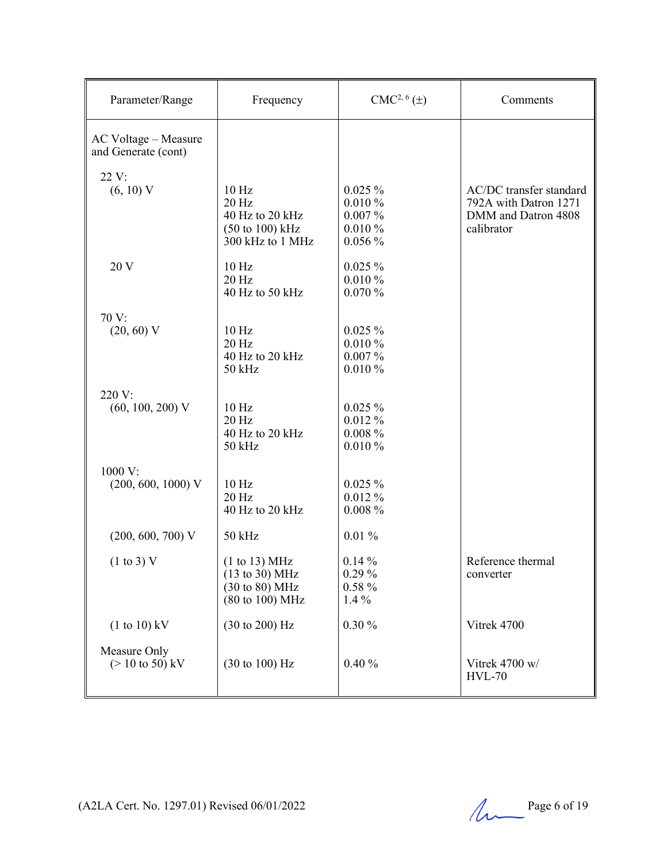| Parameter/Range                                    | Frequency                                                                                              | $CMC2, 6(\pm)$                                           | Comments                                                                              |
|----------------------------------------------------|--------------------------------------------------------------------------------------------------------|----------------------------------------------------------|---------------------------------------------------------------------------------------|
| AC Voltage - Measure<br>and Generate (cont)        |                                                                                                        |                                                          |                                                                                       |
| 22 V:                                              |                                                                                                        |                                                          |                                                                                       |
| (6, 10) V                                          | 10 <sub>Hz</sub><br>20 Hz<br>40 Hz to 20 kHz<br>$(50 \text{ to } 100) \text{ kHz}$<br>300 kHz to 1 MHz | $0.025 \%$<br>0.010%<br>$0.007\%$<br>0.010%<br>$0.056\%$ | AC/DC transfer standard<br>792A with Datron 1271<br>DMM and Datron 4808<br>calibrator |
| 20 V                                               | 10 <sub>Hz</sub><br>20 Hz<br>40 Hz to 50 kHz                                                           | $0.025 \%$<br>0.010%<br>0.070%                           |                                                                                       |
| 70 V:                                              |                                                                                                        |                                                          |                                                                                       |
| $(20, 60)$ V                                       | 10 <sub>Hz</sub><br>$20$ Hz<br>40 Hz to 20 kHz<br>50 kHz                                               | $0.025 \%$<br>0.010%<br>$0.007\%$<br>0.010%              |                                                                                       |
| 220 V:                                             |                                                                                                        |                                                          |                                                                                       |
| $(60, 100, 200)$ V                                 | 10 <sub>Hz</sub><br>20 Hz<br>40 Hz to 20 kHz<br>50 kHz                                                 | $0.025 \%$<br>$0.012\%$<br>$0.008 \%$<br>0.010%          |                                                                                       |
| 1000 V:                                            |                                                                                                        |                                                          |                                                                                       |
| $(200, 600, 1000)$ V                               | 10 Hz<br>20 Hz<br>40 Hz to 20 kHz                                                                      | $0.025 \%$<br>0.012%<br>$0.008 \%$                       |                                                                                       |
| $(200, 600, 700)$ V                                | 50 kHz                                                                                                 | $0.01\%$                                                 |                                                                                       |
| $(1 \text{ to } 3)$ V                              | (1 to 13) MHz<br>(13 to 30) MHz<br>(30 to 80) MHz<br>(80 to 100) MHz                                   | $0.14\%$<br>0.29%<br>$0.58 \%$<br>$1.4\%$                | Reference thermal<br>converter                                                        |
| $(1 to 10)$ kV                                     | (30 to 200) Hz                                                                                         | 0.30%                                                    | Vitrek 4700                                                                           |
| Measure Only<br>$(> 10 \text{ to } 50) \text{ kV}$ | $(30 \text{ to } 100) \text{ Hz}$                                                                      | 0.40%                                                    | Vitrek 4700 w/<br><b>HVL-70</b>                                                       |

(A2LA Cert. No. 1297.01) Revised 06/01/2022 Page 6 of 19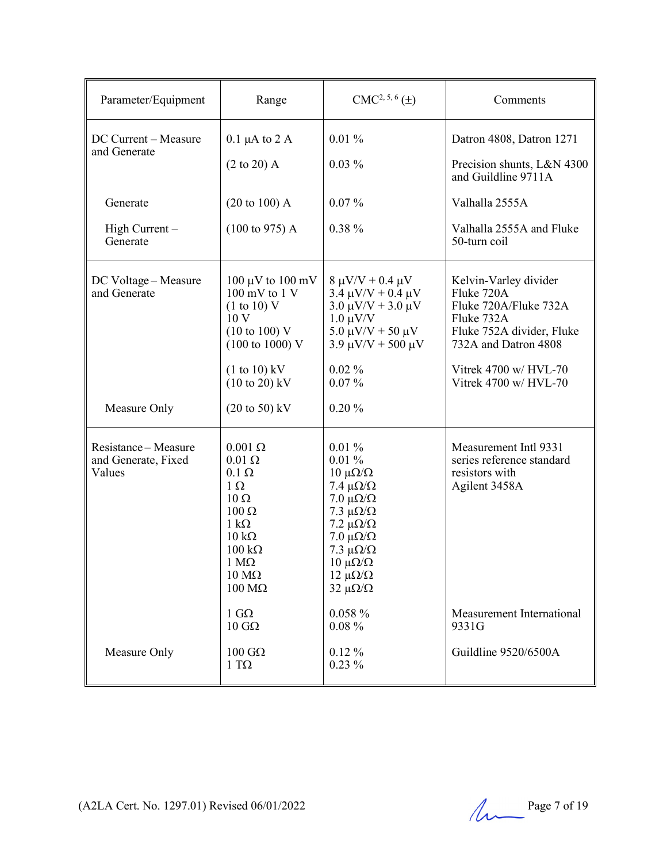| Parameter/Equipment                                 | Range                                                                                                                                                                                                                                | $CMC2, 5, 6(\pm)$                                                                                                                                                                                                                                     | Comments                                                                                                                                                                          |
|-----------------------------------------------------|--------------------------------------------------------------------------------------------------------------------------------------------------------------------------------------------------------------------------------------|-------------------------------------------------------------------------------------------------------------------------------------------------------------------------------------------------------------------------------------------------------|-----------------------------------------------------------------------------------------------------------------------------------------------------------------------------------|
| DC Current - Measure<br>and Generate                | $0.1 \mu A$ to $2 A$<br>$(2 \text{ to } 20)$ A                                                                                                                                                                                       | 0.01%<br>$0.03\%$                                                                                                                                                                                                                                     | Datron 4808, Datron 1271<br>Precision shunts, L&N 4300<br>and Guildline 9711A                                                                                                     |
| Generate                                            | $(20 \text{ to } 100)$ A                                                                                                                                                                                                             | $0.07\%$                                                                                                                                                                                                                                              | Valhalla 2555A                                                                                                                                                                    |
| $High Current -$<br>Generate                        | $(100 \text{ to } 975)$ A                                                                                                                                                                                                            | $0.38 \%$                                                                                                                                                                                                                                             | Valhalla 2555A and Fluke<br>50-turn coil                                                                                                                                          |
| DC Voltage – Measure<br>and Generate                | $100 \mu V$ to $100 \text{ mV}$<br>$100 \text{ mV}$ to $1 \text{ V}$<br>(1 to 10) V<br>10 V<br>$(10 \text{ to } 100)$ V<br>$(100 \text{ to } 1000) \text{ V}$<br>$(1 to 10)$ kV<br>$(10 \text{ to } 20)$ kV                          | $8 \mu V/V + 0.4 \mu V$<br>$3.4 \mu V/V + 0.4 \mu V$<br>$3.0 \mu V/V + 3.0 \mu V$<br>$1.0 \mu V/V$<br>$5.0 \mu V/V + 50 \mu V$<br>$3.9 \mu V/V + 500 \mu V$<br>$0.02\%$<br>$0.07\%$                                                                   | Kelvin-Varley divider<br>Fluke 720A<br>Fluke 720A/Fluke 732A<br>Fluke 732A<br>Fluke 752A divider, Fluke<br>732A and Datron 4808<br>Vitrek 4700 w/ HVL-70<br>Vitrek 4700 w/ HVL-70 |
| Measure Only                                        | $(20 \text{ to } 50) \text{ kV}$                                                                                                                                                                                                     | 0.20%                                                                                                                                                                                                                                                 |                                                                                                                                                                                   |
| Resistance-Measure<br>and Generate, Fixed<br>Values | $0.001 \Omega$<br>$0.01 \Omega$<br>$0.1 \Omega$<br>$1 \Omega$<br>$10 \Omega$<br>$100 \Omega$<br>$1 \text{ k}\Omega$<br>$10 \text{ k}\Omega$<br>$100 \text{ k}\Omega$<br>$1 M\Omega$<br>$10 \text{ M}\Omega$<br>$100 \text{ M}\Omega$ | $0.01\%$<br>$0.01\%$<br>$10 \muΩ/Ω$<br>7.4 $\mu\Omega/\Omega$<br>$7.0 \mu\Omega/\Omega$<br>7.3 $\mu\Omega/\Omega$<br>7.2 μ $\Omega/\Omega$<br>$7.0 \mu\Omega/\Omega$<br>7.3 $\mu\Omega/\Omega$<br>$10 \muΩ/Ω$<br>$12 \muΩ/Ω$<br>$32 \mu\Omega/\Omega$ | Measurement Intl 9331<br>series reference standard<br>resistors with<br>Agilent 3458A                                                                                             |
|                                                     | 1 $G\Omega$<br>$10 \text{ } G\Omega$                                                                                                                                                                                                 | $0.058 \%$<br>$0.08 \%$                                                                                                                                                                                                                               | Measurement International<br>9331G                                                                                                                                                |
| Measure Only                                        | $100$ GΩ<br>$1 T\Omega$                                                                                                                                                                                                              | $0.12\%$<br>$0.23\%$                                                                                                                                                                                                                                  | Guildline 9520/6500A                                                                                                                                                              |

(A2LA Cert. No. 1297.01) Revised 06/01/2022 Page 7 of 19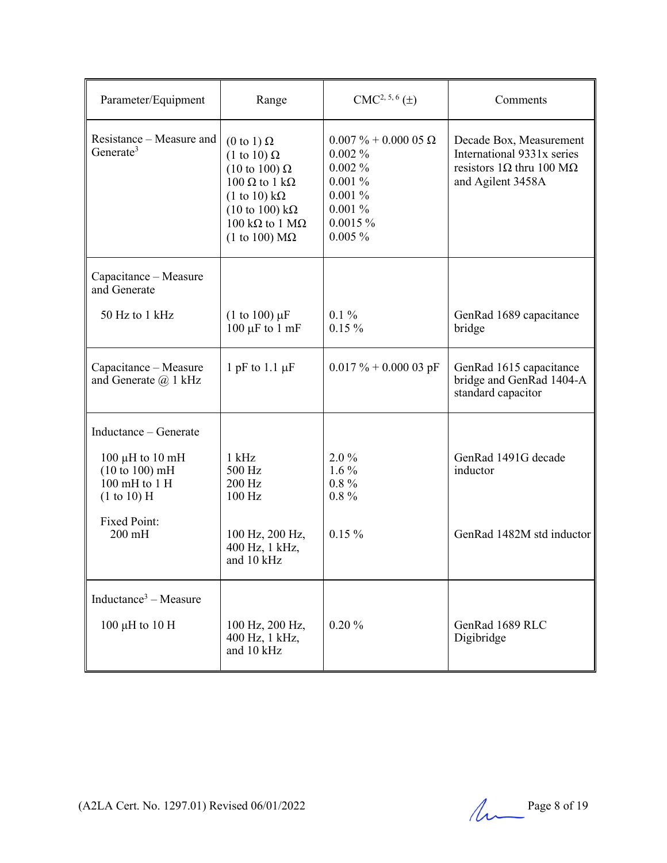| Parameter/Equipment                                                      | Range                                                                                                                                                                                                                  | $CMC2, 5, 6(\pm)$                                                                                                       | Comments                                                                                                              |
|--------------------------------------------------------------------------|------------------------------------------------------------------------------------------------------------------------------------------------------------------------------------------------------------------------|-------------------------------------------------------------------------------------------------------------------------|-----------------------------------------------------------------------------------------------------------------------|
| Resistance – Measure and<br>Generate <sup>3</sup>                        | $(0 \text{ to } 1) \Omega$<br>$(1 \text{ to } 10) \Omega$<br>$(10 \text{ to } 100) \Omega$<br>100 Ω to 1 kΩ<br>(1 to 10) $k\Omega$<br>$(10 \text{ to } 100) \text{ k}\Omega$<br>100 kQ to 1 MQ<br>(1 to 100) $M\Omega$ | $0.007 \% + 0.000 05 \Omega$<br>$0.002\%$<br>$0.002\%$<br>$0.001\%$<br>0.001%<br>$0.001\%$<br>$0.0015 \%$<br>$0.005 \%$ | Decade Box, Measurement<br>International 9331x series<br>resistors $1\Omega$ thru 100 M $\Omega$<br>and Agilent 3458A |
| Capacitance - Measure<br>and Generate                                    |                                                                                                                                                                                                                        |                                                                                                                         |                                                                                                                       |
| 50 Hz to 1 kHz                                                           | $(1 \text{ to } 100) \mu F$<br>$100 \mu F$ to $1 \text{ mF}$                                                                                                                                                           | $0.1\%$<br>$0.15\%$                                                                                                     | GenRad 1689 capacitance<br>bridge                                                                                     |
| Capacitance - Measure<br>and Generate $(a)$ 1 kHz                        | 1 pF to 1.1 $\mu$ F                                                                                                                                                                                                    | $0.017 \% + 0.00003$ pF                                                                                                 | GenRad 1615 capacitance<br>bridge and GenRad 1404-A<br>standard capacitor                                             |
| Inductance – Generate                                                    |                                                                                                                                                                                                                        |                                                                                                                         |                                                                                                                       |
| 100 $\mu$ H to 10 mH<br>(10 to 100) mH<br>100 mH to 1 H<br>$(1 to 10)$ H | $1$ kHz<br>500 Hz<br>200 Hz<br>$100$ Hz                                                                                                                                                                                | $2.0\%$<br>$1.6\%$<br>$0.8\%$<br>$0.8\%$                                                                                | GenRad 1491G decade<br>inductor                                                                                       |
| <b>Fixed Point:</b><br>$200$ mH                                          | 100 Hz, 200 Hz,<br>400 Hz, 1 kHz,<br>and 10 kHz                                                                                                                                                                        | $0.15\%$                                                                                                                | GenRad 1482M std inductor                                                                                             |
| Inductance <sup>3</sup> – Measure                                        |                                                                                                                                                                                                                        |                                                                                                                         |                                                                                                                       |
| $100 \mu H$ to $10 \mu H$                                                | 100 Hz, 200 Hz,<br>400 Hz, 1 kHz,<br>and 10 kHz                                                                                                                                                                        | 0.20%                                                                                                                   | GenRad 1689 RLC<br>Digibridge                                                                                         |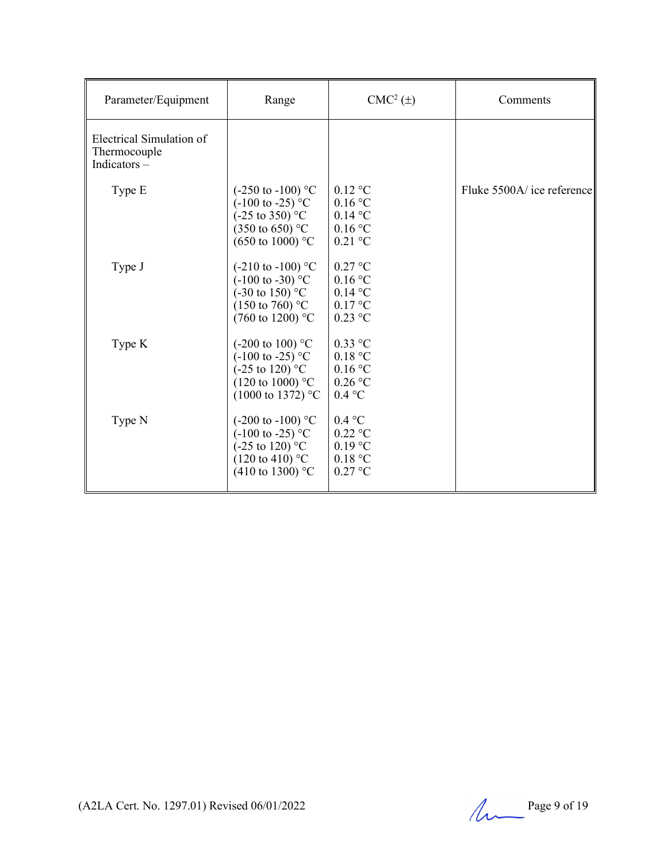| Parameter/Equipment                                     | Range                                                                                                                                                  | $CMC2(\pm)$                                                                    | Comments                   |
|---------------------------------------------------------|--------------------------------------------------------------------------------------------------------------------------------------------------------|--------------------------------------------------------------------------------|----------------------------|
| Electrical Simulation of<br>Thermocouple<br>Indicators- |                                                                                                                                                        |                                                                                |                            |
| Type E                                                  | $(-250 \text{ to } -100)$ °C<br>$(-100 \text{ to } -25)$ °C<br>$(-25 \text{ to } 350)$ °C<br>$(350 \text{ to } 650)$ °C<br>$(650 \text{ to } 1000)$ °C | $0.12$ °C<br>$0.16$ °C<br>$0.14$ °C<br>$0.16\,^{\circ}\mathrm{C}$<br>$0.21$ °C | Fluke 5500A/ ice reference |
| Type J                                                  | $(-210 \text{ to } -100)$ °C<br>$(-100 \text{ to } -30)$ °C<br>$(-30 \text{ to } 150)$ °C<br>$(150 \text{ to } 760)$ °C<br>$(760 \text{ to } 1200)$ °C | $0.27$ °C<br>$0.16$ °C<br>$0.14$ °C<br>$0.17$ °C<br>$0.23$ °C                  |                            |
| Type K                                                  | (-200 to 100) $^{\circ}$ C<br>$(-100 \text{ to } -25)$ °C<br>$(-25 \text{ to } 120)$ °C<br>$(120 \text{ to } 1000)$ °C<br>$(1000 \text{ to } 1372)$ °C | $0.33$ °C<br>0.18 °C<br>0.16 °C<br>$0.26$ °C<br>0.4 °C                         |                            |
| Type N                                                  | $(-200 \text{ to } -100)$ °C<br>$(-100 \text{ to } -25)$ °C<br>$(-25 \text{ to } 120)$ °C<br>$(120 \text{ to } 410)$ °C<br>$(410 \text{ to } 1300)$ °C | $0.4 \text{ °C}$<br>$0.22$ °C<br>$0.19$ °C<br>0.18 °C<br>$0.27$ °C             |                            |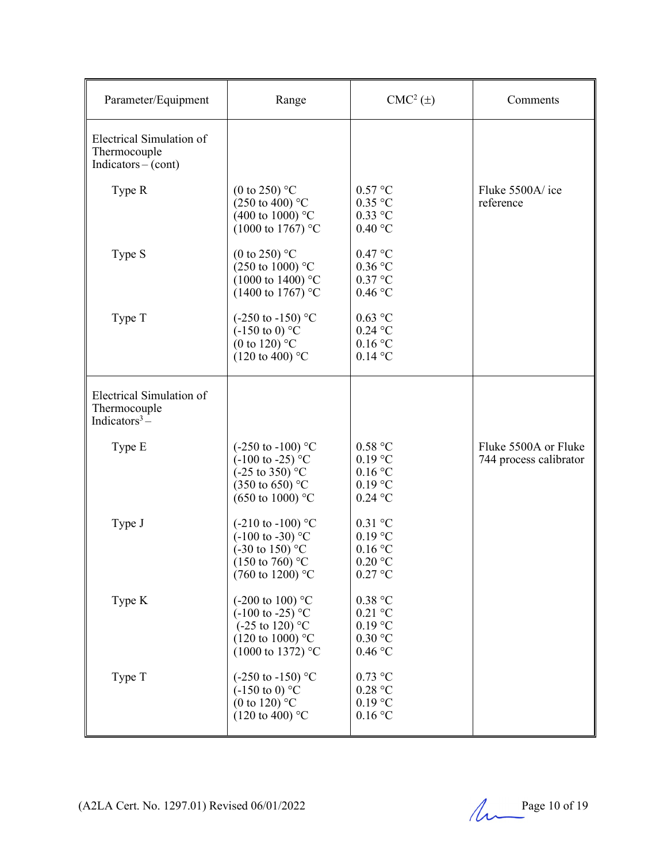| Parameter/Equipment                                                     | Range                                                                                                                                                   | $CMC2(\pm)$                                                                  | Comments                                       |
|-------------------------------------------------------------------------|---------------------------------------------------------------------------------------------------------------------------------------------------------|------------------------------------------------------------------------------|------------------------------------------------|
| Electrical Simulation of<br>Thermocouple<br>$Indicators - (cont)$       |                                                                                                                                                         |                                                                              |                                                |
| Type R                                                                  | (0 to 250) $^{\circ}$ C<br>$(250 \text{ to } 400)$ °C<br>(400 to 1000) $^{\circ}$ C<br>$(1000 \text{ to } 1767)$ °C                                     | 0.57 °C<br>$0.35$ °C<br>$0.33$ °C<br>0.40 °C                                 | Fluke 5500A/ice<br>reference                   |
| Type S                                                                  | (0 to 250) $^{\circ}$ C<br>$(250 \text{ to } 1000)$ °C<br>$(1000 \text{ to } 1400)$ °C<br>(1400 to 1767) °C                                             | 0.47 °C<br>$0.36$ °C<br>$0.37$ °C<br>$0.46\,^{\circ}\mathrm{C}$              |                                                |
| Type T                                                                  | $(-250 \text{ to } -150)$ °C<br>$(-150 \text{ to } 0)$ °C<br>(0 to 120) $^{\circ}$ C<br>$(120 \text{ to } 400)$ °C                                      | $0.63$ °C<br>$0.24$ °C<br>$0.16$ °C<br>$0.14$ °C                             |                                                |
| Electrical Simulation of<br>Thermocouple<br>Indicators <sup>3</sup> $-$ |                                                                                                                                                         |                                                                              |                                                |
| Type E                                                                  | $(-250 \text{ to } -100)$ °C<br>$(-100 \text{ to } -25)$ °C<br>$(-25 \text{ to } 350)$ °C<br>$(350 \text{ to } 650)$ °C<br>$(650 \text{ to } 1000)$ °C  | $0.58\ ^{\circ}\mathrm{C}$<br>$0.19$ °C<br>0.16 °C<br>$0.19$ °C<br>$0.24$ °C | Fluke 5500A or Fluke<br>744 process calibrator |
| Type J                                                                  | $(-210 \text{ to } -100)$ °C<br>$(-100 \text{ to } -30)$ °C<br>$(-30 \text{ to } 150)$ °C<br>$(150 \text{ to } 760)$ °C<br>$(760 \text{ to } 1200)$ °C  | $0.31$ °C<br>$0.19 \text{ °C}$<br>$0.16$ °C<br>$0.20$ °C<br>$0.27$ °C        |                                                |
| Type K                                                                  | $(-200 \text{ to } 100)$ °C<br>$(-100 \text{ to } -25)$ °C<br>$(-25 \text{ to } 120)$ °C<br>$(120 \text{ to } 1000)$ °C<br>$(1000 \text{ to } 1372)$ °C | 0.38 °C<br>$0.21$ °C<br>0.19 °C<br>0.30 °C<br>$0.46\,^{\circ}\mathrm{C}$     |                                                |
| Type T                                                                  | $(-250 \text{ to } -150)$ °C<br>$(-150 \text{ to } 0)$ °C<br>(0 to 120) $^{\circ}$ C<br>$(120 \text{ to } 400)$ °C                                      | $0.73~^\circ\mathrm{C}$<br>0.28 °C<br>0.19 °C<br>0.16 °C                     |                                                |

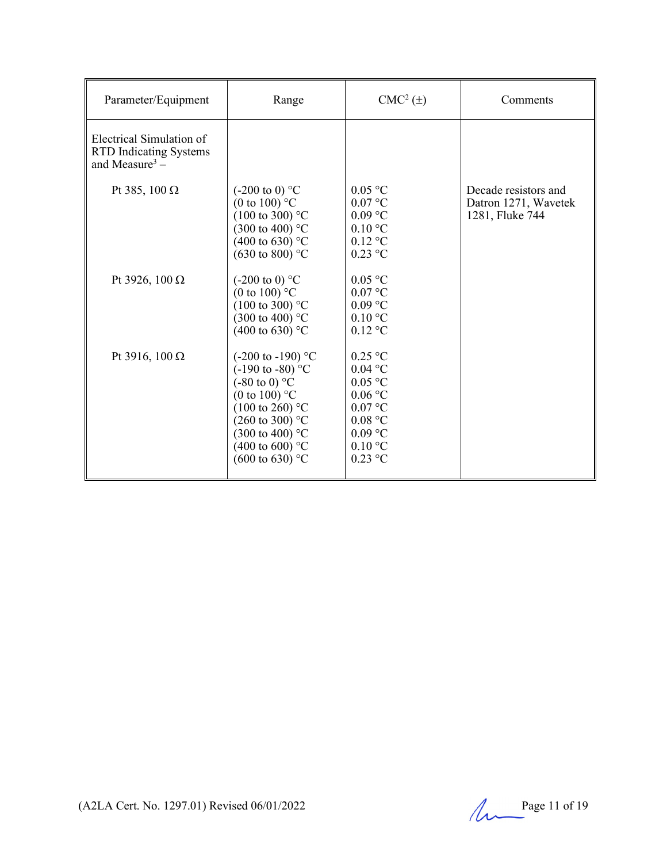| Parameter/Equipment                                                                     | Range                                                                                                                                                                                                                                                                  | $CMC2(\pm)$                                                                                                   | Comments                                                        |
|-----------------------------------------------------------------------------------------|------------------------------------------------------------------------------------------------------------------------------------------------------------------------------------------------------------------------------------------------------------------------|---------------------------------------------------------------------------------------------------------------|-----------------------------------------------------------------|
| Electrical Simulation of<br><b>RTD Indicating Systems</b><br>and Measure <sup>3</sup> – |                                                                                                                                                                                                                                                                        |                                                                                                               |                                                                 |
| Pt 385, 100 $\Omega$                                                                    | $(-200 \text{ to } 0)$ °C<br>(0 to 100) $\degree$ C<br>$(100 \text{ to } 300)$ °C<br>$(300 \text{ to } 400)$ °C<br>$(400 \text{ to } 630)$ °C<br>$(630 \text{ to } 800)$ °C                                                                                            | $0.05$ °C<br>$0.07$ °C<br>$0.09$ °C<br>$0.10\text{ °C}$<br>$0.12$ °C<br>$0.23$ °C                             | Decade resistors and<br>Datron 1271, Wavetek<br>1281, Fluke 744 |
| Pt 3926, 100 $\Omega$                                                                   | $(-200 \text{ to } 0)$ °C<br>(0 to 100) $\mathrm{^{\circ}C}$<br>$(100 \text{ to } 300)$ °C<br>$(300 \text{ to } 400)$ °C<br>(400 to 630) $^{\circ}$ C                                                                                                                  | $0.05$ °C<br>$0.07$ °C<br>$0.09$ °C<br>$0.10\text{ °C}$<br>$0.12$ °C                                          |                                                                 |
| Pt 3916, 100 Ω                                                                          | $(-200 \text{ to } -190)$ °C<br>$(-190 \text{ to } -80)$ °C<br>$(-80 \text{ to } 0)$ °C<br>(0 to 100) $\degree$ C<br>$(100 \text{ to } 260)$ °C<br>$(260 \text{ to } 300)$ °C<br>$(300 \text{ to } 400)$ °C<br>(400 to 600) $^{\circ}$ C<br>$(600 \text{ to } 630)$ °C | $0.25$ °C<br>$0.04$ °C<br>$0.05$ °C<br>0.06 °C<br>$0.07$ °C<br>0.08 °C<br>$0.09$ °C<br>$0.10$ °C<br>$0.23$ °C |                                                                 |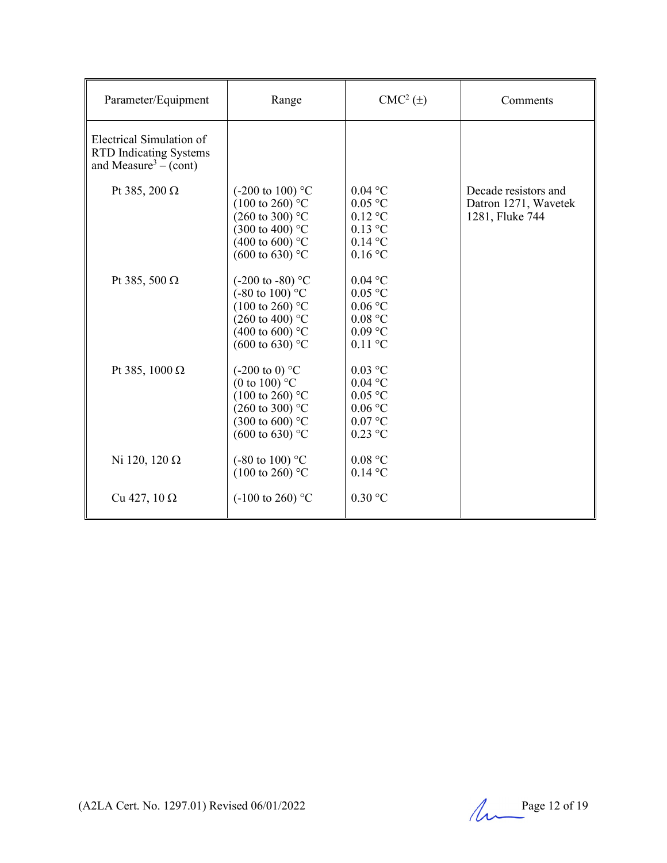| Parameter/Equipment                                                                            | Range                                                                                                                                                                             | $CMC2(\pm)$                                                                                 | Comments                                                        |
|------------------------------------------------------------------------------------------------|-----------------------------------------------------------------------------------------------------------------------------------------------------------------------------------|---------------------------------------------------------------------------------------------|-----------------------------------------------------------------|
| Electrical Simulation of<br><b>RTD</b> Indicating Systems<br>and Measure <sup>3</sup> – (cont) |                                                                                                                                                                                   |                                                                                             |                                                                 |
| Pt 385, 200 $\Omega$                                                                           | $(-200 \text{ to } 100)$ °C<br>$(100 \text{ to } 260)$ °C<br>$(260 \text{ to } 300)$ °C<br>$(300 \text{ to } 400)$ °C<br>$(400 \text{ to } 600)$ °C<br>$(600 \text{ to } 630)$ °C | $0.04$ °C<br>$0.05$ °C<br>$0.12$ °C<br>$0.13$ °C<br>$0.14$ °C<br>$0.16$ °C                  | Decade resistors and<br>Datron 1271, Wavetek<br>1281, Fluke 744 |
| Pt 385, 500 $\Omega$                                                                           | $(-200 \text{ to } -80)$ °C<br>$(-80 \text{ to } 100)$ °C<br>$(100 \text{ to } 260)$ °C<br>(260 to 400) $^{\circ}$ C<br>$(400 \text{ to } 600)$ °C<br>$(600 \text{ to } 630)$ °C  | $0.04$ °C<br>$0.05$ °C<br>$0.06$ °C<br>0.08 °C<br>$0.09$ °C<br>$0.11$ °C                    |                                                                 |
| Pt 385, 1000 $\Omega$                                                                          | $(-200 \text{ to } 0)$ °C<br>(0 to 100) $^{\circ}$ C<br>$(100 \text{ to } 260)$ °C<br>$(260 \text{ to } 300)$ °C<br>$(300 \text{ to } 600)$ °C<br>$(600 \text{ to } 630)$ °C      | $0.03$ °C<br>$0.04$ °C<br>$0.05$ °C<br>$0.06\ ^{\circ}\mathrm{C}$<br>$0.07$ °C<br>$0.23$ °C |                                                                 |
| Ni 120, 120 $\Omega$                                                                           | $(-80 \text{ to } 100)$ °C<br>$(100 \text{ to } 260)$ °C                                                                                                                          | $0.08$ °C<br>$0.14$ °C                                                                      |                                                                 |
| Cu 427, $10 \Omega$                                                                            | $(-100 \text{ to } 260)$ °C                                                                                                                                                       | $0.30$ °C                                                                                   |                                                                 |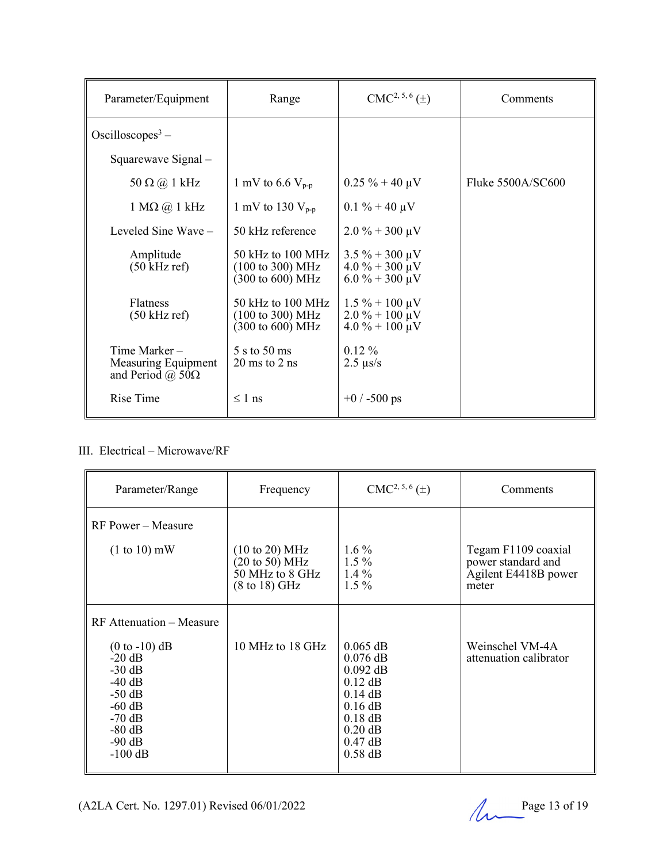| Parameter/Equipment                                                                | Range                                                                                           | $CMC2, 5, 6(\pm)$                                                                        | Comments          |
|------------------------------------------------------------------------------------|-------------------------------------------------------------------------------------------------|------------------------------------------------------------------------------------------|-------------------|
| Oscilloscopes <sup>3</sup> –                                                       |                                                                                                 |                                                                                          |                   |
| Squarewave Signal -                                                                |                                                                                                 |                                                                                          |                   |
| 50 $\Omega$ (a) 1 kHz                                                              | 1 mV to 6.6 $V_{p-p}$                                                                           | $0.25 \% + 40 \mu V$                                                                     | Fluke 5500A/SC600 |
| $1 M\Omega$ (a) $1 kHz$                                                            | 1 mV to 130 $V_{p-p}$                                                                           | $0.1 \% + 40 \mu V$                                                                      |                   |
| Leveled Sine Wave $-$                                                              | 50 kHz reference                                                                                | $2.0\% + 300 \,\mu\text{V}$                                                              |                   |
| Amplitude<br>$(50 \text{ kHz ref})$                                                | 50 kHz to 100 MHz<br>$(100 \text{ to } 300) \text{ MHz}$<br>$(300 \text{ to } 600) \text{ MHz}$ | $3.5\% + 300 \,\mu\text{V}$<br>$4.0\% + 300 \,\mu\text{V}$<br>$6.0\% + 300\,\mu\text{V}$ |                   |
| <b>Flatness</b><br>$(50 \text{ kHz ref})$                                          | 50 kHz to 100 MHz<br>$(100 \text{ to } 300) \text{ MHz}$<br>(300 to 600) MHz                    | $1.5\% + 100 \mu V$<br>$2.0\% + 100 \mu V$<br>$4.0\% + 100 \,\mu\text{V}$                |                   |
| Time Marker-<br>Measuring Equipment<br>and Period ( $\hat{\omega}$ , 50 $\Omega$ ) | 5 s to 50 ms<br>$20 \text{ ms}$ to $2 \text{ ns}$                                               | $0.12\%$<br>$2.5 \text{ }\mu\text{s/s}$                                                  |                   |
| Rise Time                                                                          | $\leq 1$ ns                                                                                     | $+0$ / -500 ps                                                                           |                   |

III. Electrical – Microwave/RF

| Parameter/Range                                                                                                                                                 | Frequency                                                                                                                     | $CMC2, 5, 6(\pm)$                                                                                                                 | Comments                                                                   |
|-----------------------------------------------------------------------------------------------------------------------------------------------------------------|-------------------------------------------------------------------------------------------------------------------------------|-----------------------------------------------------------------------------------------------------------------------------------|----------------------------------------------------------------------------|
| <b>RF</b> Power – Measure<br>$(1 to 10)$ mW                                                                                                                     | $(10 \text{ to } 20) \text{ MHz}$<br>$(20 \text{ to } 50) \text{ MHz}$<br>50 MHz to 8 GHz<br>$(8 \text{ to } 18) \text{ GHz}$ | $1.6\%$<br>$1.5\%$<br>$1.4\%$<br>$1.5\%$                                                                                          | Tegam F1109 coaxial<br>power standard and<br>Agilent E4418B power<br>meter |
| <b>RF</b> Attenuation – Measure<br>$(0 to -10)$ dB<br>$-20$ dB<br>$-30$ dB<br>$-40$ dB<br>$-50$ dB<br>$-60$ dB<br>$-70$ dB<br>$-80$ dB<br>$-90$ dB<br>$-100$ dB | 10 MHz to 18 GHz                                                                                                              | $0.065$ dB<br>$0.076$ dB<br>$0.092$ dB<br>$0.12$ dB<br>$0.14$ dB<br>$0.16$ dB<br>$0.18$ dB<br>$0.20$ dB<br>$0.47$ dB<br>$0.58$ dB | Weinschel VM-4A<br>attenuation calibrator                                  |

(A2LA Cert. No. 1297.01) Revised  $06/01/2022$  Page 13 of 19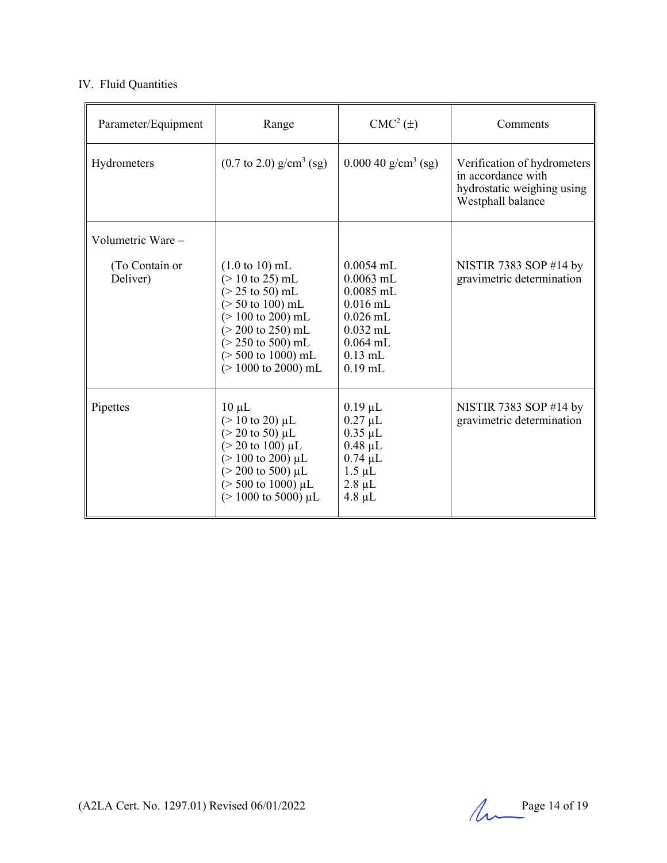## IV. Fluid Quantities

| Parameter/Equipment        | Range                                                                                                                                                                                                                                                                                                          | $CMC2(\pm)$                                                                                                                 | Comments                                                                                             |
|----------------------------|----------------------------------------------------------------------------------------------------------------------------------------------------------------------------------------------------------------------------------------------------------------------------------------------------------------|-----------------------------------------------------------------------------------------------------------------------------|------------------------------------------------------------------------------------------------------|
| Hydrometers                | $(0.7 \text{ to } 2.0) \text{ g/cm}^3 \text{ (sg)}$                                                                                                                                                                                                                                                            | $0.00040$ g/cm <sup>3</sup> (sg)                                                                                            | Verification of hydrometers<br>in accordance with<br>hydrostatic weighing using<br>Westphall balance |
| Volumetric Ware -          |                                                                                                                                                                                                                                                                                                                |                                                                                                                             |                                                                                                      |
| (To Contain or<br>Deliver) | $(1.0 \text{ to } 10) \text{ mL}$<br>$(> 10 \text{ to } 25) \text{ mL}$<br>$(> 25 \text{ to } 50) \text{ mL}$<br>$($ > 50 to 100) mL<br>$(> 100 \text{ to } 200) \text{ mL}$<br>$(> 200 \text{ to } 250) \text{ mL}$<br>$(> 250 \text{ to } 500) \text{ mL}$<br>$($ > 500 to 1000) mL<br>$(> 1000$ to 2000) mL | $0.0054$ mL<br>$0.0063$ mL<br>$0.0085$ mL<br>$0.016$ mL<br>$0.026$ mL<br>$0.032$ mL<br>$0.064$ mL<br>$0.13$ mL<br>$0.19$ mL | NISTIR 7383 SOP #14 by<br>gravimetric determination                                                  |
| Pipettes                   | $10 \mu L$<br>$(> 10 \text{ to } 20) \mu L$<br>$(> 20 \text{ to } 50) \mu L$<br>$(> 20 \text{ to } 100) \mu L$<br>$(>100 \text{ to } 200) \mu L$<br>$(> 200 \text{ to } 500) \mu L$<br>$($ > 500 to 1000) $\mu$ L<br>$(> 1000 \text{ to } 5000) \mu L$                                                         | $0.19 \mu L$<br>$0.27 \mu L$<br>$0.35 \mu L$<br>$0.48 \mu L$<br>$0.74 \mu L$<br>$1.5 \mu L$<br>$2.8 \mu L$<br>$4.8 \mu L$   | NISTIR 7383 SOP #14 by<br>gravimetric determination                                                  |

(A2LA Cert. No. 1297.01) Revised  $06/01/2022$  Page 14 of 19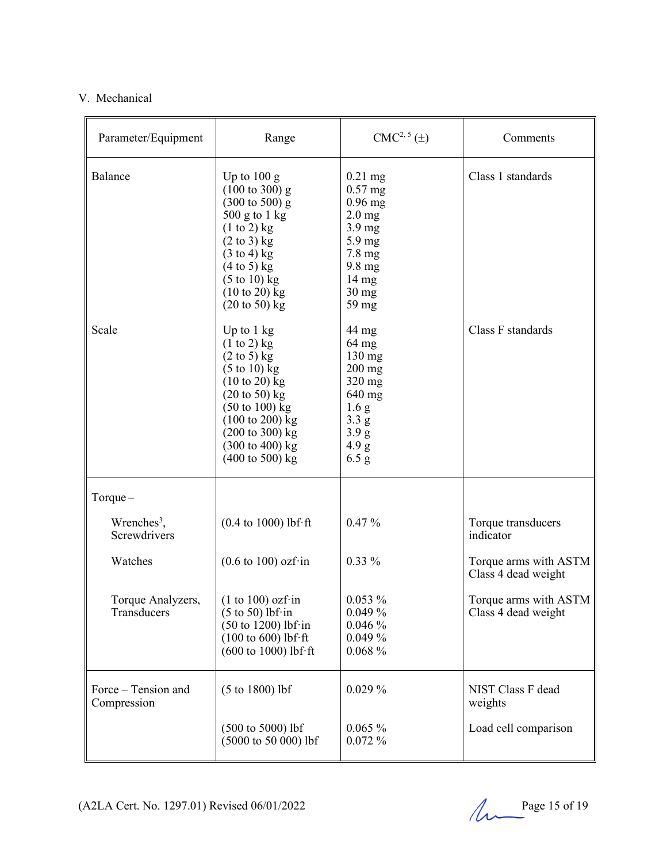## V. Mechanical

| Parameter/Equipment                     | Range                                                                                                                                                                                                                                                                                                                                                    | $CMC2, 5(\pm)$                                                                                                                                                     | Comments                                     |
|-----------------------------------------|----------------------------------------------------------------------------------------------------------------------------------------------------------------------------------------------------------------------------------------------------------------------------------------------------------------------------------------------------------|--------------------------------------------------------------------------------------------------------------------------------------------------------------------|----------------------------------------------|
| Balance                                 | Up to $100 g$<br>$(100 \text{ to } 300)$ g<br>$(300 \text{ to } 500)$ g<br>$500$ g to 1 kg<br>$(1 to 2)$ kg<br>$(2 \text{ to } 3)$ kg<br>$(3 \text{ to } 4)$ kg<br>$(4 \text{ to } 5)$ kg<br>$(5 \text{ to } 10)$ kg<br>$(10 \text{ to } 20)$ kg<br>$(20 \text{ to } 50)$ kg                                                                             | $0.21$ mg<br>$0.57$ mg<br>$0.96$ mg<br>$2.0 \text{ mg}$<br>$3.9 \text{ mg}$<br>5.9 mg<br>$7.8 \text{ mg}$<br>9.8 mg<br>$14 \text{ mg}$<br>$30 \text{ mg}$<br>59 mg | Class 1 standards                            |
| Scale                                   | Up to $1 \text{ kg}$<br>$(1 \text{ to } 2)$ kg<br>$(2 \text{ to } 5)$ kg<br>$(5 \text{ to } 10)$ kg<br>$(10 \text{ to } 20)$ kg<br>$(20 \text{ to } 50)$ kg<br>$(50 \text{ to } 100) \text{ kg}$<br>$(100 \text{ to } 200) \text{ kg}$<br>$(200 \text{ to } 300) \text{ kg}$<br>$(300 \text{ to } 400) \text{ kg}$<br>$(400 \text{ to } 500) \text{ kg}$ | 44 mg<br>$64 \text{ mg}$<br>$130$ mg<br>$200$ mg<br>$320$ mg<br>640 mg<br>1.6 <sub>g</sub><br>3.3 g<br>3.9 g<br>4.9 g<br>6.5 g                                     | Class F standards                            |
| $Torque-$                               |                                                                                                                                                                                                                                                                                                                                                          |                                                                                                                                                                    |                                              |
| Wrenches <sup>3</sup> ,<br>Screwdrivers | $(0.4 \text{ to } 1000) \text{ lbf·ft}$                                                                                                                                                                                                                                                                                                                  | $0.47\%$                                                                                                                                                           | Torque transducers<br>indicator              |
| Watches                                 | $(0.6 \text{ to } 100)$ ozf·in                                                                                                                                                                                                                                                                                                                           | $0.33\%$                                                                                                                                                           | Torque arms with ASTM<br>Class 4 dead weight |
| Torque Analyzers,<br>Transducers        | $(1 to 100)$ ozf·in<br>$(5 \text{ to } 50)$ lbf·in<br>$(50 \text{ to } 1200)$ lbf·in<br>$(100 \text{ to } 600)$ lbf·ft<br>$(600 \text{ to } 1000)$ lbf·ft                                                                                                                                                                                                | $0.053\%$<br>$0.049\%$<br>0.046%<br>0.049%<br>$0.068\%$                                                                                                            | Torque arms with ASTM<br>Class 4 dead weight |
| Force - Tension and<br>Compression      | $(5 to 1800)$ lbf                                                                                                                                                                                                                                                                                                                                        | $0.029\%$                                                                                                                                                          | NIST Class F dead<br>weights                 |
|                                         | $(500 \text{ to } 5000)$ lbf<br>$(5000 \text{ to } 50000)$ lbf                                                                                                                                                                                                                                                                                           | $0.065\%$<br>0.072%                                                                                                                                                | Load cell comparison                         |

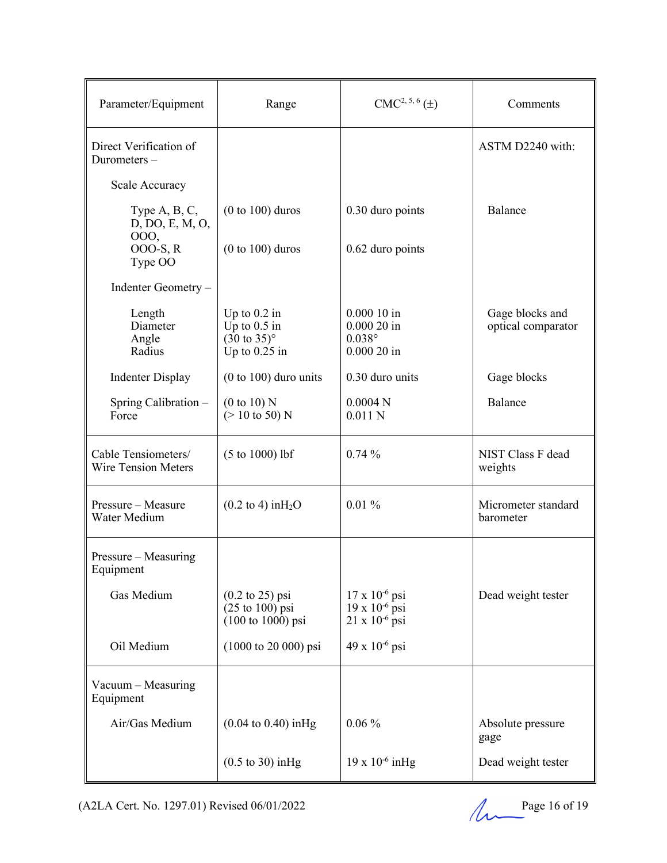| Parameter/Equipment                                     | Range                                                                                                            | $CMC2, 5, 6(\pm)$                                                             | Comments                              |
|---------------------------------------------------------|------------------------------------------------------------------------------------------------------------------|-------------------------------------------------------------------------------|---------------------------------------|
| Direct Verification of<br>Durometers-                   |                                                                                                                  |                                                                               | ASTM D2240 with:                      |
| Scale Accuracy                                          |                                                                                                                  |                                                                               |                                       |
| Type $A, B, C$ ,<br>D, DO, E, M, O,<br>000,<br>000-S, R | $(0 to 100)$ duros<br>$(0 to 100)$ duros                                                                         | 0.30 duro points<br>0.62 duro points                                          | Balance                               |
| Type OO                                                 |                                                                                                                  |                                                                               |                                       |
| Indenter Geometry -                                     |                                                                                                                  |                                                                               |                                       |
| Length<br>Diameter<br>Angle<br>Radius                   | Up to $0.2$ in<br>Up to $0.5$ in<br>$(30 \text{ to } 35)^{\circ}$<br>Up to $0.25$ in                             | $0.00010$ in<br>$0.00020$ in<br>$0.038^\circ$<br>$0.00020$ in                 | Gage blocks and<br>optical comparator |
| <b>Indenter Display</b>                                 | $(0 to 100)$ duro units                                                                                          | 0.30 duro units                                                               | Gage blocks                           |
| Spring Calibration -<br>Force                           | (0 to 10) N<br>$(> 10 \text{ to } 50)$ N                                                                         | 0.0004N<br>$0.011$ N                                                          | Balance                               |
| Cable Tensiometers/<br><b>Wire Tension Meters</b>       | $(5 to 1000)$ lbf                                                                                                | 0.74%                                                                         | NIST Class F dead<br>weights          |
| Pressure - Measure<br>Water Medium                      | $(0.2 \text{ to } 4) \text{ in } H_2O$                                                                           | 0.01%                                                                         | Micrometer standard<br>barometer      |
| Pressure – Measuring<br>Equipment                       |                                                                                                                  |                                                                               |                                       |
| Gas Medium                                              | $(0.2 \text{ to } 25) \text{ psi}$<br>$(25 \text{ to } 100) \text{ psi}$<br>$(100 \text{ to } 1000) \text{ psi}$ | $17 \times 10^{-6}$ psi<br>$19 \times 10^{-6}$ psi<br>$21 \times 10^{-6}$ psi | Dead weight tester                    |
| Oil Medium                                              | $(1000 \text{ to } 20000) \text{ psi}$                                                                           | $49 \times 10^{-6}$ psi                                                       |                                       |
| Vacuum - Measuring<br>Equipment                         |                                                                                                                  |                                                                               |                                       |
| Air/Gas Medium                                          | $(0.04 \text{ to } 0.40) \text{ inHg}$                                                                           | $0.06\%$                                                                      | Absolute pressure<br>gage             |
|                                                         | $(0.5 \text{ to } 30)$ in Hg                                                                                     | $19 \times 10^{-6}$ in Hg                                                     | Dead weight tester                    |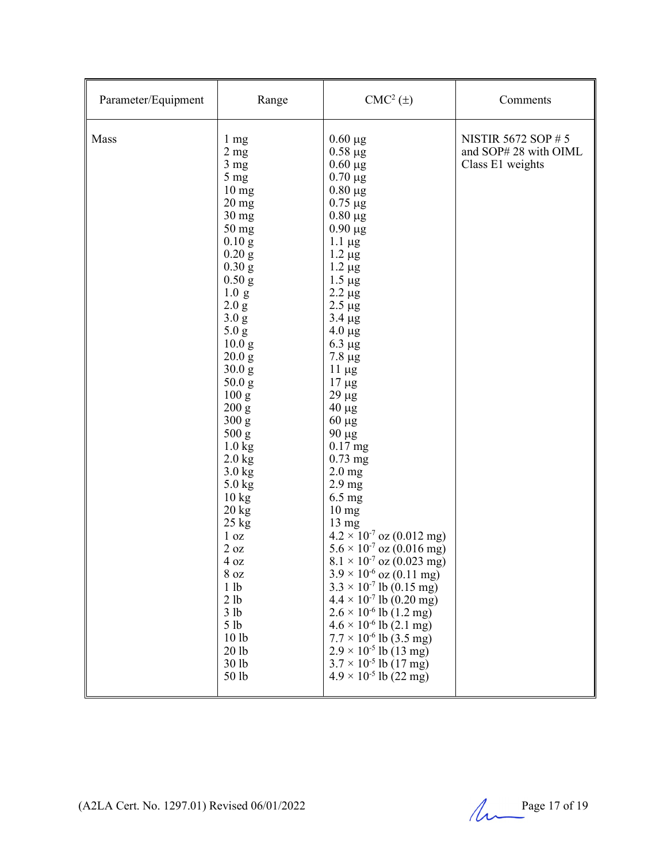| Parameter/Equipment | Range                                                                                                                                                                                                                                                                                                                                                                                                                                                                                                                           | $CMC2(\pm)$                                                                                                                                                                                                                                                                                                                                                                                                                                                                                                                                                                                                                                                                                                                                                                                                                                                                                                                                     | Comments                                                               |
|---------------------|---------------------------------------------------------------------------------------------------------------------------------------------------------------------------------------------------------------------------------------------------------------------------------------------------------------------------------------------------------------------------------------------------------------------------------------------------------------------------------------------------------------------------------|-------------------------------------------------------------------------------------------------------------------------------------------------------------------------------------------------------------------------------------------------------------------------------------------------------------------------------------------------------------------------------------------------------------------------------------------------------------------------------------------------------------------------------------------------------------------------------------------------------------------------------------------------------------------------------------------------------------------------------------------------------------------------------------------------------------------------------------------------------------------------------------------------------------------------------------------------|------------------------------------------------------------------------|
| Mass                | 1 mg<br>2 <sub>mg</sub><br>3 <sub>mg</sub><br>5 mg<br>10 <sub>mg</sub><br>$20$ mg<br>$30$ mg<br>50 mg<br>0.10 g<br>$0.20$ g<br>$0.30$ g<br>$0.50$ g<br>1.0 g<br>2.0 g<br>3.0 g<br>5.0 g<br>10.0 <sub>g</sub><br>20.0 g<br>30.0 g<br>50.0 g<br>100 g<br>200 g<br>300 g<br>500 g<br>$1.0$ kg<br>$2.0$ kg<br>$3.0$ kg<br>$5.0$ kg<br>$10 \text{ kg}$<br>$20 \text{ kg}$<br>$25 \text{ kg}$<br>1 <sub>oz</sub><br>$2$ oz<br>$4\ \mathrm{oz}$<br>8 oz<br>1 lb<br>2 lb<br>3 lb<br>5 <sub>1b</sub><br>10 lb<br>20 lb<br>30 lb<br>50 lb | $0.60 \mu g$<br>$0.58 \mu g$<br>$0.60 \mu g$<br>$0.70 \mu g$<br>$0.80 \mu g$<br>$0.75 \mu g$<br>$0.80 \mu g$<br>$0.90 \mu g$<br>$1.1 \mu g$<br>$1.2 \mu g$<br>$1.2 \mu g$<br>$1.5 \mu g$<br>$2.2 \mu g$<br>$2.5 \mu g$<br>$3.4 \mu g$<br>$4.0 \mu g$<br>$6.3 \mu g$<br>$7.8 \mu g$<br>$11 \mu g$<br>$17 \mu g$<br>$29 \mu g$<br>$40 \mu g$<br>$60 \mu g$<br>90 µg<br>$0.17$ mg<br>$0.73$ mg<br>$2.0$ mg<br>2.9 <sub>mg</sub><br>$6.5$ mg<br>10 <sub>mg</sub><br>$13 \text{ mg}$<br>$4.2 \times 10^{-7}$ oz (0.012 mg)<br>$5.6 \times 10^{-7}$ oz (0.016 mg)<br>$8.1 \times 10^{-7}$ oz (0.023 mg)<br>$3.9 \times 10^{-6}$ oz (0.11 mg)<br>$3.3 \times 10^{-7}$ lb (0.15 mg)<br>$4.4 \times 10^{-7}$ lb (0.20 mg)<br>$2.6 \times 10^{-6}$ lb $(1.2 \text{ mg})$<br>$4.6 \times 10^{-6}$ lb (2.1 mg)<br>$7.7 \times 10^{-6}$ lb (3.5 mg)<br>$2.9 \times 10^{-5}$ lb (13 mg)<br>$3.7 \times 10^{-5}$ lb (17 mg)<br>$4.9 \times 10^{-5}$ lb (22 mg) | <b>NISTIR 5672 SOP #5</b><br>and SOP# 28 with OIML<br>Class E1 weights |

(A2LA Cert. No. 1297.01) Revised  $06/01/2022$  Page 17 of 19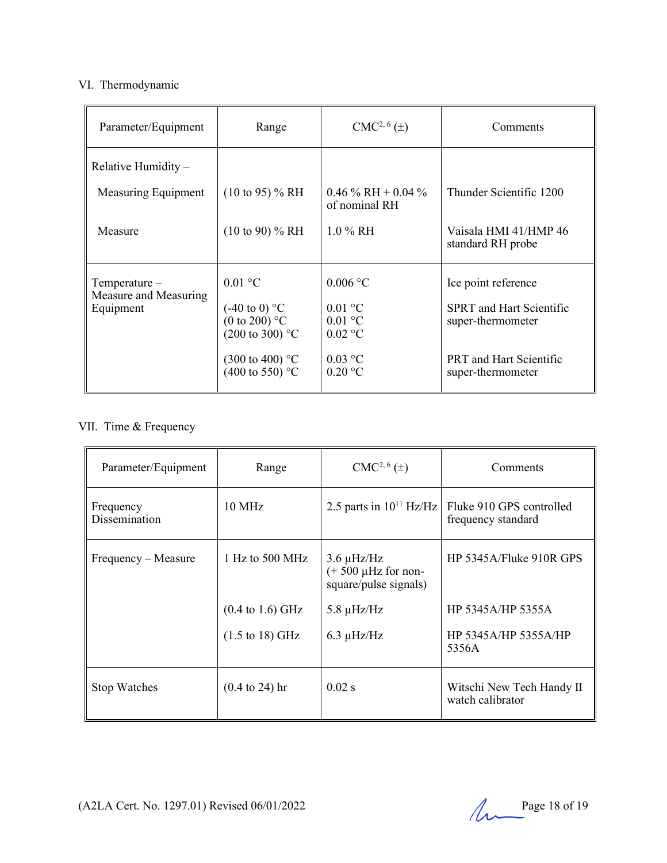### VI. Thermodynamic

| Parameter/Equipment                                  | Range                                                                                                                                                      | $CMC2, 6(\pm)$                                                                             | Comments                                                                                                                           |
|------------------------------------------------------|------------------------------------------------------------------------------------------------------------------------------------------------------------|--------------------------------------------------------------------------------------------|------------------------------------------------------------------------------------------------------------------------------------|
| Relative Humidity $-$                                |                                                                                                                                                            |                                                                                            |                                                                                                                                    |
| Measuring Equipment                                  | $(10 \text{ to } 95)$ % RH                                                                                                                                 | 0.46 $\%$ RH + 0.04 $\%$<br>of nominal RH                                                  | Thunder Scientific 1200                                                                                                            |
| Measure                                              | $(10 \text{ to } 90)$ % RH                                                                                                                                 | $1.0\%$ RH                                                                                 | Vaisala HMI 41/HMP 46<br>standard RH probe                                                                                         |
| $Temperature-$<br>Measure and Measuring<br>Equipment | $0.01$ °C<br>$(-40 \text{ to } 0)$ °C<br>(0 to 200) $^{\circ}$ C<br>$(200 \text{ to } 300)$ °C<br>$(300 \text{ to } 400)$ °C<br>$(400 \text{ to } 550)$ °C | $0.006$ °C<br>$0.01 \text{ °C}$<br>$0.01$ °C<br>$0.02$ °C<br>$0.03$ °C<br>$0.20 \degree C$ | Ice point reference<br><b>SPRT</b> and Hart Scientific<br>super-thermometer<br><b>PRT</b> and Hart Scientific<br>super-thermometer |

# VII. Time & Frequency

| Parameter/Equipment        | Range                               | $CMC2, 6(\pm)$                                                       | Comments                                       |
|----------------------------|-------------------------------------|----------------------------------------------------------------------|------------------------------------------------|
| Frequency<br>Dissemination | $10 \text{ MHz}$                    | 2.5 parts in $10^{11}$ Hz/Hz                                         | Fluke 910 GPS controlled<br>frequency standard |
| Frequency – Measure        | $1$ Hz to 500 MHz                   | $3.6 \mu$ Hz/Hz<br>$(+ 500 \mu Hz$ for non-<br>square/pulse signals) | HP 5345A/Fluke 910R GPS                        |
|                            | $(0.4 \text{ to } 1.6) \text{ GHz}$ | $5.8 \mu$ Hz/Hz                                                      | HP 5345A/HP 5355A                              |
|                            | $(1.5 \text{ to } 18) \text{ GHz}$  | $6.3 \mu$ Hz/Hz                                                      | HP 5345A/HP 5355A/HP<br>5356A                  |
| <b>Stop Watches</b>        | $(0.4 \text{ to } 24)$ hr           | $0.02$ s                                                             | Witschi New Tech Handy II<br>watch calibrator  |

(A2LA Cert. No. 1297.01) Revised  $06/01/2022$  Page 18 of 19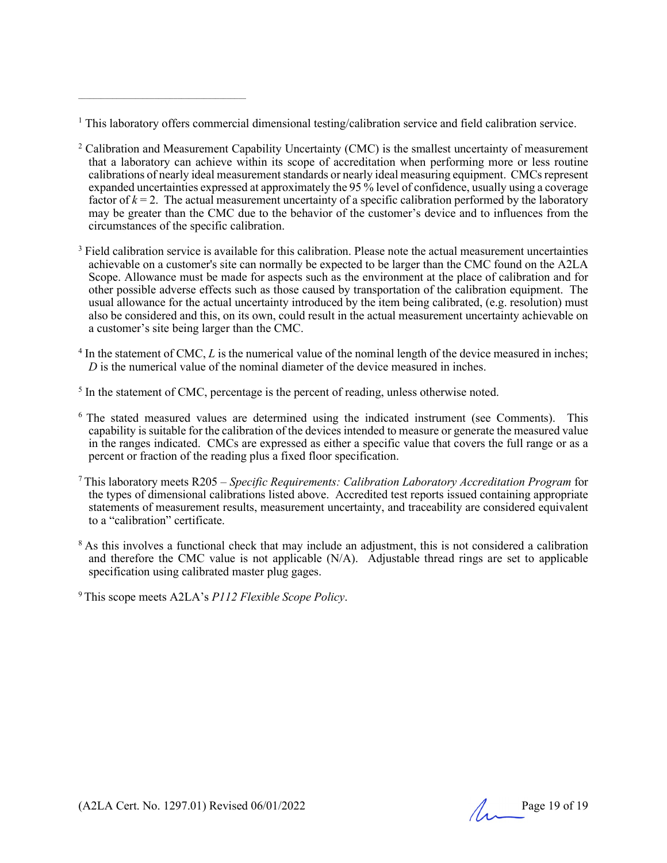<sup>1</sup> This laboratory offers commercial dimensional testing/calibration service and field calibration service.

- <sup>2</sup> Calibration and Measurement Capability Uncertainty (CMC) is the smallest uncertainty of measurement that a laboratory can achieve within its scope of accreditation when performing more or less routine calibrations of nearly ideal measurement standards or nearly ideal measuring equipment. CMCs represent expanded uncertainties expressed at approximately the 95 % level of confidence, usually using a coverage factor of  $k = 2$ . The actual measurement uncertainty of a specific calibration performed by the laboratory may be greater than the CMC due to the behavior of the customer's device and to influences from the circumstances of the specific calibration.
- <sup>3</sup> Field calibration service is available for this calibration. Please note the actual measurement uncertainties achievable on a customer's site can normally be expected to be larger than the CMC found on the A2LA Scope. Allowance must be made for aspects such as the environment at the place of calibration and for other possible adverse effects such as those caused by transportation of the calibration equipment. The usual allowance for the actual uncertainty introduced by the item being calibrated, (e.g. resolution) must also be considered and this, on its own, could result in the actual measurement uncertainty achievable on a customer's site being larger than the CMC.
- <sup>4</sup> In the statement of CMC, *L* is the numerical value of the nominal length of the device measured in inches; *D* is the numerical value of the nominal diameter of the device measured in inches.
- <sup>5</sup> In the statement of CMC, percentage is the percent of reading, unless otherwise noted.
- 6 The stated measured values are determined using the indicated instrument (see Comments). This capability is suitable for the calibration of the devices intended to measure or generate the measured value in the ranges indicated. CMCs are expressed as either a specific value that covers the full range or as a percent or fraction of the reading plus a fixed floor specification.
- <sup>7</sup> This laboratory meets R205 *– Specific Requirements: Calibration Laboratory Accreditation Program* for the types of dimensional calibrations listed above. Accredited test reports issued containing appropriate statements of measurement results, measurement uncertainty, and traceability are considered equivalent to a "calibration" certificate.
- <sup>8</sup> As this involves a functional check that may include an adjustment, this is not considered a calibration and therefore the CMC value is not applicable  $(N/A)$ . Adjustable thread rings are set to applicable specification using calibrated master plug gages.

9 This scope meets A2LA's *P112 Flexible Scope Policy*.

\_\_\_\_\_\_\_\_\_\_\_\_\_\_\_\_\_\_\_\_\_\_\_\_\_\_\_\_\_\_\_\_\_\_\_\_\_\_\_\_\_\_\_\_

(A2LA Cert. No. 1297.01) Revised  $06/01/2022$  Page 19 of 19